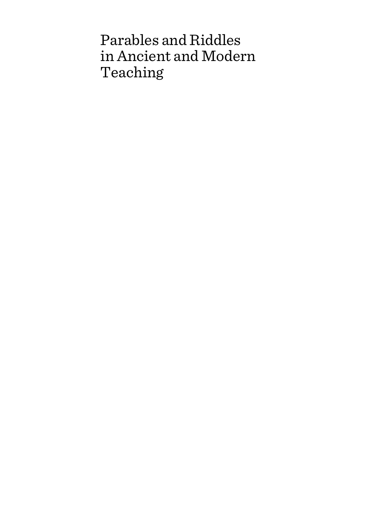# Parables and Riddles in Ancient and Modern Teaching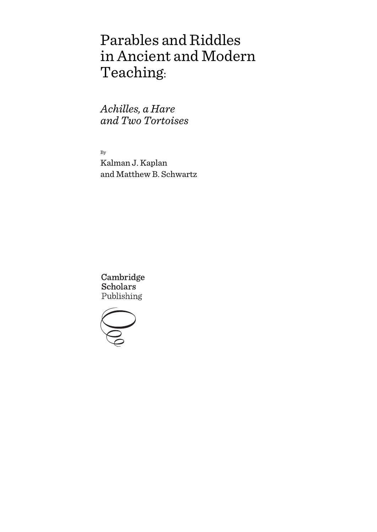# Parables and Riddles in Ancient and Modern Teaching:

*Achilles, a Hare and Two Tortoises*

By Kalman J. Kaplan and Matthew B. Schwartz

Cambridge **Scholars** Publishing

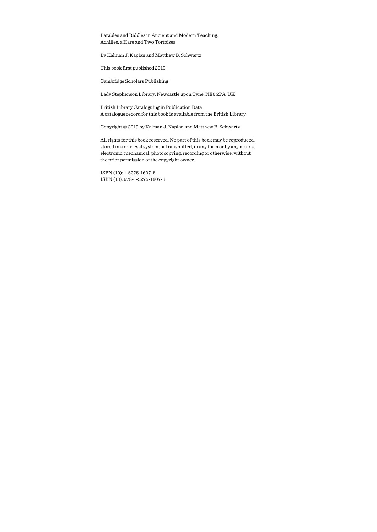Parables and Riddles in Ancient and Modern Teaching: Achilles, a Hare and Two Tortoises

By Kalman J. Kaplan and Matthew B. Schwartz

This book first published 2019

Cambridge Scholars Publishing

Lady Stephenson Library, Newcastle upon Tyne, NE6 2PA, UK

British Library Cataloguing in Publication Data A catalogue record for this book is available from the British Library

Copyright © 2019 by Kalman J. Kaplan and Matthew B. Schwartz

All rights for this book reserved. No part of this book may be reproduced, stored in a retrieval system, or transmitted, in any form or by any means, electronic, mechanical, photocopying, recording or otherwise, without the prior permission of the copyright owner.

ISBN (10): 1-5275-1607-5 ISBN (13): 978-1-5275-1607-6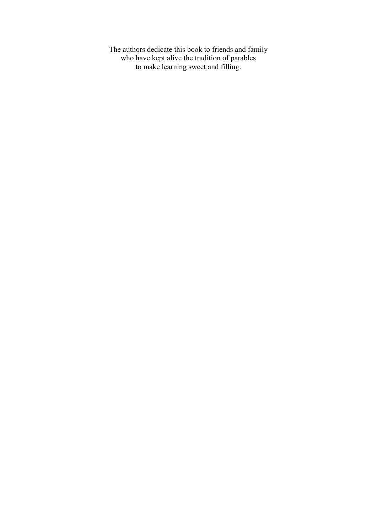The authors dedicate this book to friends and family who have kept alive the tradition of parables to make learning sweet and filling.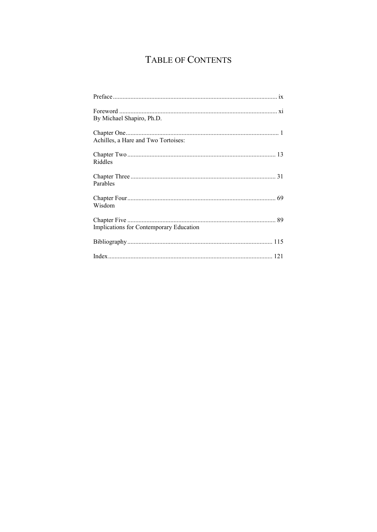## TABLE OF CONTENTS

| By Michael Shapiro, Ph.D.               |  |
|-----------------------------------------|--|
| Achilles, a Hare and Two Tortoises:     |  |
| Riddles                                 |  |
| Parables                                |  |
| Wisdom                                  |  |
| Implications for Contemporary Education |  |
|                                         |  |
|                                         |  |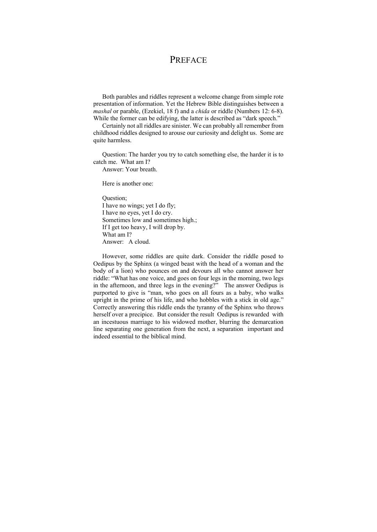## PREFACE

Both parables and riddles represent a welcome change from simple rote presentation of information. Yet the Hebrew Bible distinguishes between a *mashal* or parable, (Ezekiel, 18 f) and a *chida* or riddle (Numbers 12: 6-8). While the former can be edifying, the latter is described as "dark speech."

Certainly not all riddles are sinister. We can probably all remember from childhood riddles designed to arouse our curiosity and delight us. Some are quite harmless.

Question: The harder you try to catch something else, the harder it is to catch me. What am I?

Answer: Your breath.

Here is another one:

Question; I have no wings; yet I do fly; I have no eyes, yet I do cry. Sometimes low and sometimes high.; If I get too heavy, I will drop by. What am I? Answer: A cloud.

However, some riddles are quite dark. Consider the riddle posed to Oedipus by the Sphinx (a winged beast with the head of a woman and the body of a lion) who pounces on and devours all who cannot answer her riddle: "What has one voice, and goes on four legs in the morning, two legs in the afternoon, and three legs in the evening?" The answer Oedipus is purported to give is "man, who goes on all fours as a baby, who walks upright in the prime of his life, and who hobbles with a stick in old age." Correctly answering this riddle ends the tyranny of the Sphinx who throws herself over a precipice. But consider the result Oedipus is rewarded with an incestuous marriage to his widowed mother, blurring the demarcation line separating one generation from the next, a separation important and indeed essential to the biblical mind.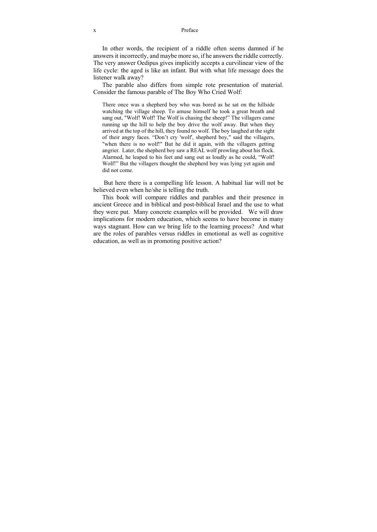#### x Preface

In other words, the recipient of a riddle often seems damned if he answers it incorrectly, and maybe more so, if he answers the riddle correctly. The very answer Oedipus gives implicitly accepts a curvilinear view of the life cycle: the aged is like an infant. But with what life message does the listener walk away?

The parable also differs from simple rote presentation of material. Consider the famous parable of The Boy Who Cried Wolf:

There once was a shepherd boy who was bored as he sat on the hillside watching the village sheep. To amuse himself he took a great breath and sang out, "Wolf! Wolf! The Wolf is chasing the sheep!" The villagers came running up the hill to help the boy drive the wolf away. But when they arrived at the top of the hill, they found no wolf. The boy laughed at the sight of their angry faces. "Don't cry 'wolf', shepherd boy," said the villagers, "when there is no wolf!" But he did it again, with the villagers getting angrier. Later, the shepherd boy saw a REAL wolf prowling about his flock. Alarmed, he leaped to his feet and sang out as loudly as he could, "Wolf! Wolf!" But the villagers thought the shepherd boy was lying yet again and did not come.

 But here there is a compelling life lesson. A habitual liar will not be believed even when he/she is telling the truth.

This book will compare riddles and parables and their presence in ancient Greece and in biblical and post-biblical Israel and the use to what they were put. Many concrete examples will be provided. We will draw implications for modern education, which seems to have become in many ways stagnant. How can we bring life to the learning process? And what are the roles of parables versus riddles in emotional as well as cognitive education, as well as in promoting positive action?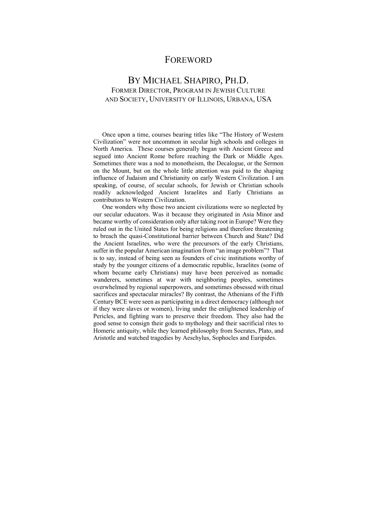## FOREWORD

## BY MICHAEL SHAPIRO, PH.D. FORMER DIRECTOR, PROGRAM IN JEWISH CULTURE AND SOCIETY, UNIVERSITY OF ILLINOIS, URBANA, USA

Once upon a time, courses bearing titles like "The History of Western Civilization" were not uncommon in secular high schools and colleges in North America. These courses generally began with Ancient Greece and segued into Ancient Rome before reaching the Dark or Middle Ages. Sometimes there was a nod to monotheism, the Decalogue, or the Sermon on the Mount, but on the whole little attention was paid to the shaping influence of Judaism and Christianity on early Western Civilization. I am speaking, of course, of secular schools, for Jewish or Christian schools readily acknowledged Ancient Israelites and Early Christians as contributors to Western Civilization.

One wonders why those two ancient civilizations were so neglected by our secular educators. Was it because they originated in Asia Minor and became worthy of consideration only after taking root in Europe? Were they ruled out in the United States for being religions and therefore threatening to breach the quasi-Constitutional barrier between Church and State? Did the Ancient Israelites, who were the precursors of the early Christians, suffer in the popular American imagination from "an image problem"? That is to say, instead of being seen as founders of civic institutions worthy of study by the younger citizens of a democratic republic, Israelites (some of whom became early Christians) may have been perceived as nomadic wanderers, sometimes at war with neighboring peoples, sometimes overwhelmed by regional superpowers, and sometimes obsessed with ritual sacrifices and spectacular miracles? By contrast, the Athenians of the Fifth Century BCE were seen as participating in a direct democracy (although not if they were slaves or women), living under the enlightened leadership of Pericles, and fighting wars to preserve their freedom. They also had the good sense to consign their gods to mythology and their sacrificial rites to Homeric antiquity, while they learned philosophy from Socrates, Plato, and Aristotle and watched tragedies by Aeschylus, Sophocles and Euripides.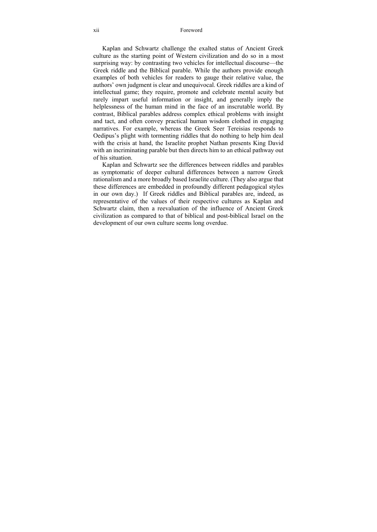#### xii Foreword

Kaplan and Schwartz challenge the exalted status of Ancient Greek culture as the starting point of Western civilization and do so in a most surprising way: by contrasting two vehicles for intellectual discourse—the Greek riddle and the Biblical parable. While the authors provide enough examples of both vehicles for readers to gauge their relative value, the authors' own judgment is clear and unequivocal. Greek riddles are a kind of intellectual game; they require, promote and celebrate mental acuity but rarely impart useful information or insight, and generally imply the helplessness of the human mind in the face of an inscrutable world. By contrast, Biblical parables address complex ethical problems with insight and tact, and often convey practical human wisdom clothed in engaging narratives. For example, whereas the Greek Seer Tereisias responds to Oedipus's plight with tormenting riddles that do nothing to help him deal with the crisis at hand, the Israelite prophet Nathan presents King David with an incriminating parable but then directs him to an ethical pathway out of his situation.

Kaplan and Schwartz see the differences between riddles and parables as symptomatic of deeper cultural differences between a narrow Greek rationalism and a more broadly based Israelite culture. (They also argue that these differences are embedded in profoundly different pedagogical styles in our own day.) If Greek riddles and Biblical parables are, indeed, as representative of the values of their respective cultures as Kaplan and Schwartz claim, then a reevaluation of the influence of Ancient Greek civilization as compared to that of biblical and post-biblical Israel on the development of our own culture seems long overdue.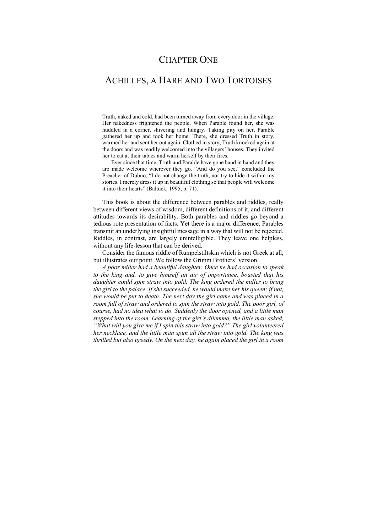## CHAPTER ONE

## ACHILLES, A HARE AND TWO TORTOISES

Truth, naked and cold, had been turned away from every door in the village. Her nakedness frightened the people. When Parable found her, she was huddled in a corner, shivering and hungry. Taking pity on her, Parable gathered her up and took her home. There, she dressed Truth in story, warmed her and sent her out again. Clothed in story, Truth knocked again at the doors and was readily welcomed into the villagers' houses. They invited her to eat at their tables and warm herself by their fires.

Ever since that time, Truth and Parable have gone hand in hand and they are made welcome wherever they go. "And do you see," concluded the Preacher of Dubno, "I do not change the truth, nor try to hide it within my stories. I merely dress it up in beautiful clothing so that people will welcome it into their hearts" (Baltuck, 1995, p. 71).

This book is about the difference between parables and riddles, really between different views of wisdom, different definitions of it, and different attitudes towards its desirability. Both parables and riddles go beyond a tedious rote presentation of facts. Yet there is a major difference. Parables transmit an underlying insightful message in a way that will not be rejected. Riddles, in contrast, are largely unintelligible. They leave one helpless, without any life-lesson that can be derived.

Consider the famous riddle of Rumpelstiltskin which is not Greek at all, but illustrates our point. We follow the Grimm Brothers' version.

*A poor miller had a beautiful daughter. Once he had occasion to speak to the king and, to give himself an air of importance, boasted that his daughter could spin straw into gold. The king ordered the miller to bring the girl to the palace. If she succeeded, he would make her his queen; if not, she would be put to death. The next day the girl came and was placed in a room full of straw and ordered to spin the straw into gold. The poor girl, of course, had no idea what to do. Suddenly the door opened, and a little man stepped into the room. Learning of the girl's dilemma, the little man asked, "What will you give me if I spin this straw into gold?" The girl volunteered her necklace, and the little man spun all the straw into gold. The king was thrilled but also greedy. On the next day, he again placed the girl in a room*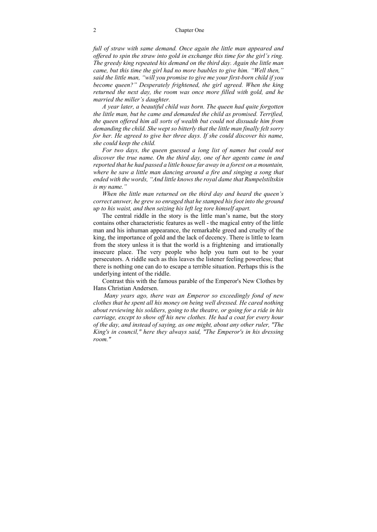#### 2 Chapter One

*full of straw with same demand. Once again the little man appeared and offered to spin the straw into gold in exchange this time for the girl's ring. The greedy king repeated his demand on the third day. Again the little man came, but this time the girl had no more baubles to give him. "Well then," said the little man, "will you promise to give me your first-born child if you become queen?" Desperately frightened, the girl agreed. When the king returned the next day, the room was once more filled with gold, and he married the miller's daughter.* 

*A year later, a beautiful child was born. The queen had quite forgotten the little man, but he came and demanded the child as promised. Terrified, the queen offered him all sorts of wealth but could not dissuade him from demanding the child. She wept so bitterly that the little man finally felt sorry for her. He agreed to give her three days. If she could discover his name, she could keep the child.* 

*For two days, the queen guessed a long list of names but could not discover the true name. On the third day, one of her agents came in and reported that he had passed a little house far away in a forest on a mountain, where he saw a little man dancing around a fire and singing a song that ended with the words, "And little knows the royal dame that Rumpelstiltskin is my name."* 

*When the little man returned on the third day and heard the queen's correct answer, he grew so enraged that he stamped his foot into the ground up to his waist, and then seizing his left leg tore himself apart.* 

The central riddle in the story is the little man's name, but the story contains other characteristic features as well - the magical entry of the little man and his inhuman appearance, the remarkable greed and cruelty of the king, the importance of gold and the lack of decency. There is little to learn from the story unless it is that the world is a frightening and irrationally insecure place. The very people who help you turn out to be your persecutors. A riddle such as this leaves the listener feeling powerless; that there is nothing one can do to escape a terrible situation. Perhaps this is the underlying intent of the riddle.

Contrast this with the famous parable of the Emperor's New Clothes by Hans Christian Andersen.

 *Many years ago, there was an Emperor so exceedingly fond of new clothes that he spent all his money on being well dressed. He cared nothing about reviewing his soldiers, going to the theatre, or going for a ride in his carriage, except to show off his new clothes. He had a coat for every hour of the day, and instead of saying, as one might, about any other ruler, "The King's in council," here they always said, "The Emperor's in his dressing room."*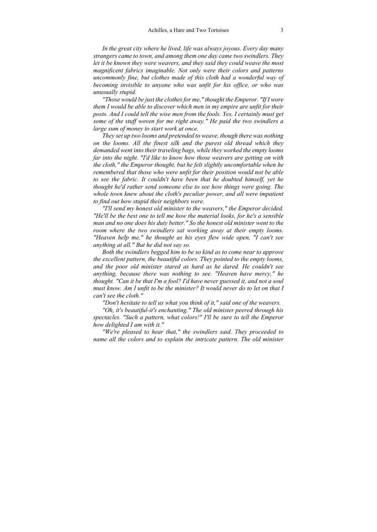*In the great city where he lived, life was always joyous. Every day many strangers came to town, and among them one day came two swindlers. They let it be known they were weavers, and they said they could weave the most magnificent fabrics imaginable. Not only were their colors and patterns uncommonly fine, but clothes made of this cloth had a wonderful way of becoming invisible to anyone who was unfit for his office, or who was unusually stupid.* 

*"Those would be just the clothes for me," thought the Emperor. "If I wore them I would be able to discover which men in my empire are unfit for their posts. And I could tell the wise men from the fools. Yes, I certainly must get some of the stuff woven for me right away." He paid the two swindlers a large sum of money to start work at once.* 

*They set up two looms and pretended to weave, though there was nothing on the looms. All the finest silk and the purest old thread which they demanded went into their traveling bags, while they worked the empty looms far into the night. "I'd like to know how those weavers are getting on with the cloth," the Emperor thought, but he felt slightly uncomfortable when he remembered that those who were unfit for their position would not be able to see the fabric. It couldn't have been that he doubted himself, yet he thought he'd rather send someone else to see how things were going. The whole town knew about the cloth's peculiar power, and all were impatient to find out how stupid their neighbors were.* 

*"I'll send my honest old minister to the weavers," the Emperor decided. "He'll be the best one to tell me how the material looks, for he's a sensible man and no one does his duty better." So the honest old minister went to the room where the two swindlers sat working away at their empty looms. "Heaven help me," he thought as his eyes flew wide open, "I can't see anything at all." But he did not say so.* 

*Both the swindlers begged him to be so kind as to come near to approve the excellent pattern, the beautiful colors. They pointed to the empty looms, and the poor old minister stared as hard as he dared. He couldn't see anything, because there was nothing to see. "Heaven have mercy," he thought. "Can it be that I'm a fool? I'd have never guessed it, and not a soul must know. Am I unfit to be the minister? It would never do to let on that I can't see the cloth."* 

*"Don't hesitate to tell us what you think of it," said one of the weavers.* 

*"Oh, it's beautiful-it's enchanting." The old minister peered through his spectacles. "Such a pattern, what colors!" I'll be sure to tell the Emperor how delighted I am with it."* 

*"We're pleased to hear that," the swindlers said. They proceeded to name all the colors and to explain the intricate pattern. The old minister*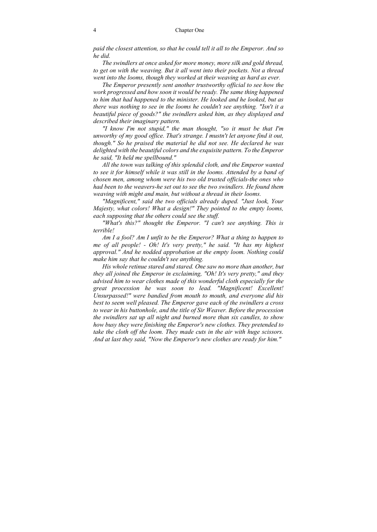#### 4 Chapter One

*paid the closest attention, so that he could tell it all to the Emperor. And so he did.* 

*The swindlers at once asked for more money, more silk and gold thread, to get on with the weaving. But it all went into their pockets. Not a thread went into the looms, though they worked at their weaving as hard as ever.* 

*The Emperor presently sent another trustworthy official to see how the work progressed and how soon it would be ready. The same thing happened to him that had happened to the minister. He looked and he looked, but as there was nothing to see in the looms he couldn't see anything. "Isn't it a beautiful piece of goods?" the swindlers asked him, as they displayed and described their imaginary pattern.* 

*"I know I'm not stupid," the man thought, "so it must be that I'm unworthy of my good office. That's strange. I mustn't let anyone find it out, though." So he praised the material he did not see. He declared he was delighted with the beautiful colors and the exquisite pattern. To the Emperor he said, "It held me spellbound."* 

*All the town was talking of this splendid cloth, and the Emperor wanted to see it for himself while it was still in the looms. Attended by a band of chosen men, among whom were his two old trusted officials-the ones who had been to the weavers-he set out to see the two swindlers. He found them weaving with might and main, but without a thread in their looms.* 

*"Magnificent," said the two officials already duped. "Just look, Your Majesty, what colors! What a design!" They pointed to the empty looms, each supposing that the others could see the stuff.* 

*"What's this?" thought the Emperor. "I can't see anything. This is terrible!* 

*Am I a fool? Am I unfit to be the Emperor? What a thing to happen to me of all people! - Oh! It's very pretty," he said. "It has my highest approval." And he nodded approbation at the empty loom. Nothing could make him say that he couldn't see anything.* 

*His whole retinue stared and stared. One saw no more than another, but they all joined the Emperor in exclaiming, "Oh! It's very pretty," and they advised him to wear clothes made of this wonderful cloth especially for the great procession he was soon to lead. "Magnificent! Excellent! Unsurpassed!" were bandied from mouth to mouth, and everyone did his best to seem well pleased. The Emperor gave each of the swindlers a cross to wear in his buttonhole, and the title of Sir Weaver. Before the procession the swindlers sat up all night and burned more than six candles, to show how busy they were finishing the Emperor's new clothes. They pretended to take the cloth off the loom. They made cuts in the air with huge scissors. And at last they said, "Now the Emperor's new clothes are ready for him."*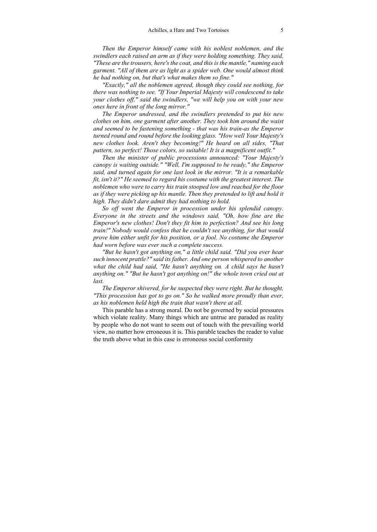*Then the Emperor himself came with his noblest noblemen, and the swindlers each raised an arm as if they were holding something. They said, "These are the trousers, here's the coat, and this is the mantle," naming each garment. "All of them are as light as a spider web. One would almost think he had nothing on, but that's what makes them so fine."* 

*"Exactly," all the noblemen agreed, though they could see nothing, for there was nothing to see. "If Your Imperial Majesty will condescend to take your clothes off," said the swindlers, "we will help you on with your new ones here in front of the long mirror."* 

*The Emperor undressed, and the swindlers pretended to put his new clothes on him, one garment after another. They took him around the waist and seemed to be fastening something - that was his train-as the Emperor turned round and round before the looking glass. "How well Your Majesty's new clothes look. Aren't they becoming!" He heard on all sides, "That pattern, so perfect! Those colors, so suitable! It is a magnificent outfit."* 

*Then the minister of public processions announced: "Your Majesty's canopy is waiting outside." "Well, I'm supposed to be ready," the Emperor said, and turned again for one last look in the mirror. "It is a remarkable fit, isn't it?" He seemed to regard his costume with the greatest interest. The noblemen who were to carry his train stooped low and reached for the floor as if they were picking up his mantle. Then they pretended to lift and hold it high. They didn't dare admit they had nothing to hold.* 

*So off went the Emperor in procession under his splendid canopy. Everyone in the streets and the windows said, "Oh, how fine are the Emperor's new clothes! Don't they fit him to perfection? And see his long train!" Nobody would confess that he couldn't see anything, for that would prove him either unfit for his position, or a fool. No costume the Emperor had worn before was ever such a complete success.* 

*"But he hasn't got anything on," a little child said. "Did you ever hear such innocent prattle?" said its father. And one person whispered to another what the child had said, "He hasn't anything on. A child says he hasn't anything on." "But he hasn't got anything on!" the whole town cried out at last.* 

*The Emperor shivered, for he suspected they were right. But he thought, "This procession has got to go on." So he walked more proudly than ever, as his noblemen held high the train that wasn't there at all.* 

This parable has a strong moral. Do not be governed by social pressures which violate reality. Many things which are untrue are paraded as reality by people who do not want to seem out of touch with the prevailing world view, no matter how erroneous it is. This parable teaches the reader to value the truth above what in this case is erroneous social conformity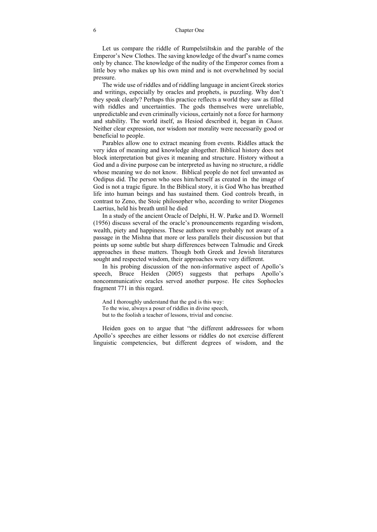Let us compare the riddle of Rumpelstiltskin and the parable of the Emperor's New Clothes. The saving knowledge of the dwarf's name comes only by chance. The knowledge of the nudity of the Emperor comes from a little boy who makes up his own mind and is not overwhelmed by social pressure.

The wide use of riddles and of riddling language in ancient Greek stories and writings, especially by oracles and prophets, is puzzling. Why don't they speak clearly? Perhaps this practice reflects a world they saw as filled with riddles and uncertainties. The gods themselves were unreliable, unpredictable and even criminally vicious, certainly not a force for harmony and stability. The world itself, as Hesiod described it, began in *Chaos.* Neither clear expression, nor wisdom nor morality were necessarily good or beneficial to people.

Parables allow one to extract meaning from events. Riddles attack the very idea of meaning and knowledge altogether. Biblical history does not block interpretation but gives it meaning and structure. History without a God and a divine purpose can be interpreted as having no structure, a riddle whose meaning we do not know. Biblical people do not feel unwanted as Oedipus did. The person who sees him/herself as created in the image of God is not a tragic figure. In the Biblical story, it is God Who has breathed life into human beings and has sustained them. God controls breath, in contrast to Zeno, the Stoic philosopher who, according to writer Diogenes Laertius, held his breath until he died

In a study of the ancient Oracle of Delphi, H. W. Parke and D. Wormell (1956) discuss several of the oracle's pronouncements regarding wisdom, wealth, piety and happiness. These authors were probably not aware of a passage in the Mishna that more or less parallels their discussion but that points up some subtle but sharp differences between Talmudic and Greek approaches in these matters. Though both Greek and Jewish literatures sought and respected wisdom, their approaches were very different.

In his probing discussion of the non-informative aspect of Apollo's speech, Bruce Heiden (2005) suggests that perhaps Apollo's noncommunicative oracles served another purpose. He cites Sophocles fragment 771 in this regard.

And I thoroughly understand that the god is this way: To the wise, always a poser of riddles in divine speech, but to the foolish a teacher of lessons, trivial and concise.

Heiden goes on to argue that "the different addressees for whom Apollo's speeches are either lessons or riddles do not exercise different linguistic competencies, but different degrees of wisdom, and the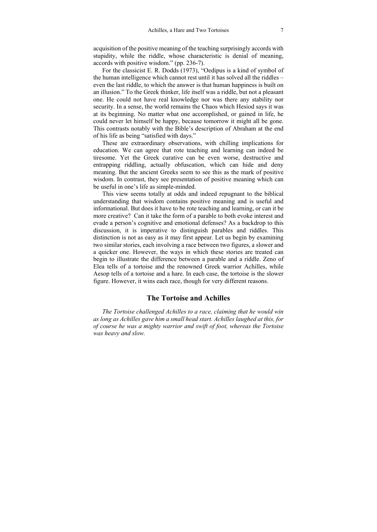acquisition of the positive meaning of the teaching surprisingly accords with stupidity, while the riddle, whose characteristic is denial of meaning, accords with positive wisdom." (pp. 236-7).

For the classicist E. R. Dodds (1973), "Oedipus is a kind of symbol of the human intelligence which cannot rest until it has solved all the riddles – even the last riddle, to which the answer is that human happiness is built on an illusion." To the Greek thinker, life itself was a riddle, but not a pleasant one. He could not have real knowledge nor was there any stability nor security. In a sense, the world remains the Chaos which Hesiod says it was at its beginning. No matter what one accomplished, or gained in life, he could never let himself be happy, because tomorrow it might all be gone. This contrasts notably with the Bible's description of Abraham at the end of his life as being "satisfied with days."

These are extraordinary observations, with chilling implications for education. We can agree that rote teaching and learning can indeed be tiresome. Yet the Greek curative can be even worse, destructive and entrapping riddling, actually obfuscation, which can hide and deny meaning. But the ancient Greeks seem to see this as the mark of positive wisdom. In contrast, they see presentation of positive meaning which can be useful in one's life as simple-minded.

This view seems totally at odds and indeed repugnant to the biblical understanding that wisdom contains positive meaning and is useful and informational. But does it have to be rote teaching and learning, or can it be more creative? Can it take the form of a parable to both evoke interest and evade a person's cognitive and emotional defenses? As a backdrop to this discussion, it is imperative to distinguish parables and riddles. This distinction is not as easy as it may first appear. Let us begin by examining two similar stories, each involving a race between two figures, a slower and a quicker one. However, the ways in which these stories are treated can begin to illustrate the difference between a parable and a riddle. Zeno of Elea tells of a tortoise and the renowned Greek warrior Achilles, while Aesop tells of a tortoise and a hare. In each case, the tortoise is the slower figure. However, it wins each race, though for very different reasons.

#### **The Tortoise and Achilles**

*The Tortoise challenged Achilles to a race, claiming that he would win as long as Achilles gave him a small head start. Achilles laughed at this, for of course he was a mighty warrior and swift of foot, whereas the Tortoise was heavy and slow.*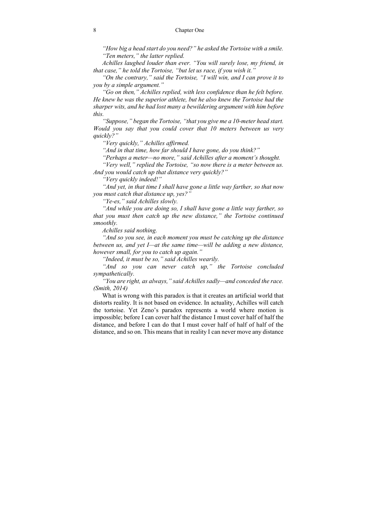#### 8 Chapter One

*"How big a head start do you need?" he asked the Tortoise with a smile. "Ten meters," the latter replied.*

*Achilles laughed louder than ever. "You will surely lose, my friend, in that case," he told the Tortoise, "but let us race, if you wish it."*

*"On the contrary," said the Tortoise, "I will win, and I can prove it to you by a simple argument."*

*"Go on then," Achilles replied, with less confidence than he felt before. He knew he was the superior athlete, but he also knew the Tortoise had the sharper wits, and he had lost many a bewildering argument with him before this.*

*"Suppose," began the Tortoise, "that you give me a 10-meter head start. Would you say that you could cover that 10 meters between us very quickly?"*

*"Very quickly," Achilles affirmed.*

*"And in that time, how far should I have gone, do you think?"*

*"Perhaps a meter—no more," said Achilles after a moment's thought.*

*"Very well," replied the Tortoise, "so now there is a meter between us. And you would catch up that distance very quickly?"*

*"Very quickly indeed!"*

*"And yet, in that time I shall have gone a little way farther, so that now you must catch that distance up, yes?"*

*"Ye-es," said Achilles slowly.*

*"And while you are doing so, I shall have gone a little way farther, so that you must then catch up the new distance," the Tortoise continued smoothly.*

*Achilles said nothing.*

*"And so you see, in each moment you must be catching up the distance between us, and yet I—at the same time—will be adding a new distance, however small, for you to catch up again."*

*"Indeed, it must be so," said Achilles wearily.*

*"And so you can never catch up," the Tortoise concluded sympathetically.*

*"You are right, as always," said Achilles sadly—and conceded the race. (Smith, 2014)* 

What is wrong with this paradox is that it creates an artificial world that distorts reality. It is not based on evidence. In actuality, Achilles will catch the tortoise. Yet Zeno's paradox represents a world where motion is impossible; before I can cover half the distance I must cover half of half the distance, and before I can do that I must cover half of half of half of the distance, and so on. This means that in reality I can never move any distance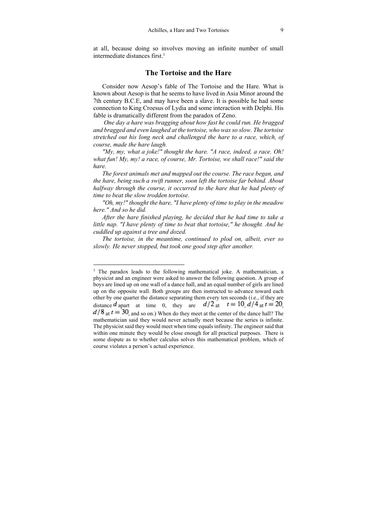at all, because doing so involves moving an infinite number of small intermediate distances first  $1$ 

#### **The Tortoise and the Hare**

Consider now Aesop's fable of The Tortoise and the Hare. What is known about Aesop is that he seems to have lived in Asia Minor around the 7th century B.C.E, and may have been a slave. It is possible he had some connection to King Croesus of Lydia and some interaction with Delphi. His fable is dramatically different from the paradox of Zeno.

 *One day a hare was bragging about how fast he could run. He bragged and bragged and even laughed at the tortoise, who was so slow. The tortoise stretched out his long neck and challenged the hare to a race, which, of course, made the hare laugh.*

*"My, my, what a joke!" thought the hare. "A race, indeed, a race. Oh! what fun! My, my! a race, of course, Mr. Tortoise, we shall race!" said the hare.*

*The forest animals met and mapped out the course. The race began, and the hare, being such a swift runner, soon left the tortoise far behind. About halfway through the course, it occurred to the hare that he had plenty of time to beat the slow trodden tortoise.*

*"Oh, my!" thought the hare, "I have plenty of time to play in the meadow here." And so he did.*

*After the hare finished playing, he decided that he had time to take a little nap. "I have plenty of time to beat that tortoise," he thought. And he cuddled up against a tree and dozed.*

*The tortoise, in the meantime, continued to plod on, albeit, ever so slowly. He never stopped, but took one good step after another.*

 $\ddot{\phantom{a}}$ 

<sup>&</sup>lt;sup>1</sup> The paradox leads to the following mathematical joke. A mathematician, a physicist and an engineer were asked to answer the following question. A group of boys are lined up on one wall of a dance hall, and an equal number of girls are lined up on the opposite wall. Both groups are then instructed to advance toward each other by one quarter the distance separating them every ten seconds (i.e., if they are distance  $d$  apart at time 0, they are  $d/2$  at  $t = 10 d/4$  at  $t = 20$ .  $d/8$  at  $t = 30$ , and so on.) When do they meet at the center of the dance hall? The mathematician said they would never actually meet because the series is infinite. The physicist said they would meet when time equals infinity. The engineer said that within one minute they would be close enough for all practical purposes. There is some dispute as to whether calculus solves this mathematical problem, which of course violates a person's actual experience.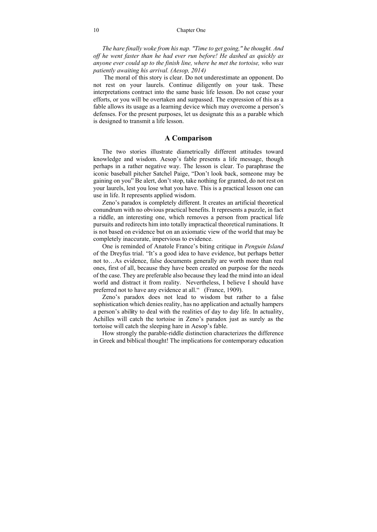*The hare finally woke from his nap. "Time to get going," he thought. And off he went faster than he had ever run before! He dashed as quickly as anyone ever could up to the finish line, where he met the tortoise, who was patiently awaiting his arrival. (Aesop, 2014)* 

 The moral of this story is clear. Do not underestimate an opponent. Do not rest on your laurels. Continue diligently on your task. These interpretations contract into the same basic life lesson. Do not cease your efforts, or you will be overtaken and surpassed. The expression of this as a fable allows its usage as a learning device which may overcome a person's defenses. For the present purposes, let us designate this as a parable which is designed to transmit a life lesson.

#### **A Comparison**

The two stories illustrate diametrically different attitudes toward knowledge and wisdom. Aesop's fable presents a life message, though perhaps in a rather negative way. The lesson is clear. To paraphrase the iconic baseball pitcher Satchel Paige, "Don't look back, someone may be gaining on you" Be alert, don't stop, take nothing for granted, do not rest on your laurels, lest you lose what you have. This is a practical lesson one can use in life. It represents applied wisdom.

Zeno's paradox is completely different. It creates an artificial theoretical conundrum with no obvious practical benefits. It represents a puzzle, in fact a riddle, an interesting one, which removes a person from practical life pursuits and redirects him into totally impractical theoretical ruminations. It is not based on evidence but on an axiomatic view of the world that may be completely inaccurate, impervious to evidence.

One is reminded of Anatole France's biting critique in *Penguin Island* of the Dreyfus trial. "It's a good idea to have evidence, but perhaps better not to…As evidence, false documents generally are worth more than real ones, first of all, because they have been created on purpose for the needs of the case. They are preferable also because they lead the mind into an ideal world and distract it from reality. Nevertheless, I believe I should have preferred not to have any evidence at all." (France, 1909).

Zeno's paradox does not lead to wisdom but rather to a false sophistication which denies reality, has no application and actually hampers a person's abil**i**ty to deal with the realities of day to day life. In actuality, Achilles will catch the tortoise in Zeno's paradox just as surely as the tortoise will catch the sleeping hare in Aesop's fable.

How strongly the parable-riddle distinction characterizes the difference in Greek and biblical thought! The implications for contemporary education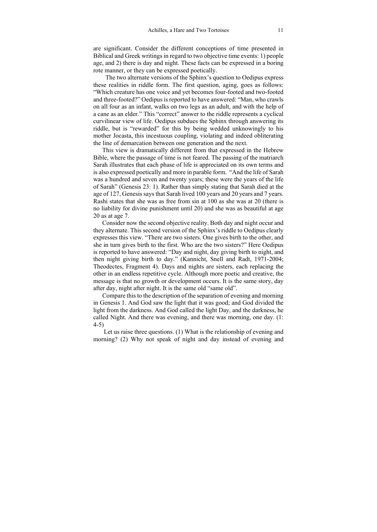are significant. Consider the different conceptions of time presented in Biblical and Greek writings in regard to two objective time events: 1) people age, and 2) there is day and night. These facts can be expressed in a boring rote manner, or they can be expressed poetically.

 The two alternate versions of the Sphinx's question to Oedipus express these realities in riddle form. The first question, aging, goes as follows: "Which creature has one voice and yet becomes four-footed and two-footed and three-footed?" Oedipus is reported to have answered: "Man, who crawls on all four as an infant, walks on two legs as an adult, and with the help of a cane as an elder." This "correct" answer to the riddle represents a cyclical curvilinear view of life. Oedipus subdues the Sphinx through answering its riddle, but is "rewarded" for this by being wedded unknowingly to his mother Jocasta, this incestuous coupling, violating and indeed obliterating the line of demarcation between one generation and the next.

This view is dramatically different from that expressed in the Hebrew Bible, where the passage of time is not feared. The passing of the matriarch Sarah illustrates that each phase of life is appreciated on its own terms and is also expressed poetically and more in parable form. "And the life of Sarah was a hundred and seven and twenty years; these were the years of the life of Sarah" (Genesis 23: 1). Rather than simply stating that Sarah died at the age of 127, Genesis says that Sarah lived 100 years and 20 years and 7 years. Rashi states that she was as free from sin at 100 as she was at 20 (there is no liability for divine punishment until 20) and she was as beautiful at age 20 as at age 7.

Consider now the second objective reality. Both day and night occur and they alternate. This second version of the Sphinx's riddle to Oedipus clearly expresses this view. "There are two sisters. One gives birth to the other, and she in turn gives birth to the first. Who are the two sisters?" Here Oedipus is reported to have answered: "Day and night, day giving birth to night, and then night giving birth to day." (Kannicht, Snell and Radt, 1971-2004; Theodectes, Fragment 4). Days and nights are sisters, each replacing the other in an endless repetitive cycle. Although more poetic and creative, the message is that no growth or development occurs. It is the same story, day after day, night after night. It is the same old "same old".

Compare this to the description of the separation of evening and morning in Genesis 1. And God saw the light that it was good; and God divided the light from the darkness. And God called the light Day, and the darkness, he called Night. And there was evening, and there was morning, one day. (1: 4-5)

 Let us raise three questions. (1) What is the relationship of evening and morning? (2) Why not speak of night and day instead of evening and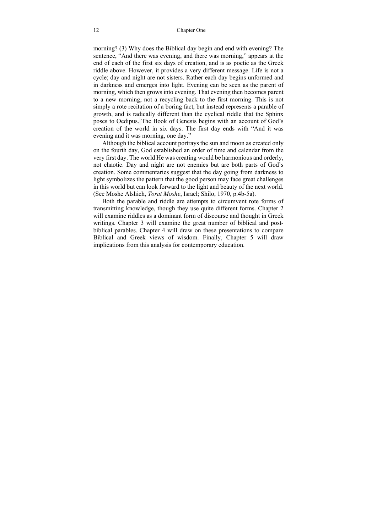morning? (3) Why does the Biblical day begin and end with evening? The sentence. "And there was evening, and there was morning," appears at the end of each of the first six days of creation, and is as poetic as the Greek riddle above. However, it provides a very different message. Life is not a cycle; day and night are not sisters. Rather each day begins unformed and in darkness and emerges into light. Evening can be seen as the parent of morning, which then grows into evening. That evening then becomes parent to a new morning, not a recycling back to the first morning. This is not simply a rote recitation of a boring fact, but instead represents a parable of growth, and is radically different than the cyclical riddle that the Sphinx poses to Oedipus. The Book of Genesis begins with an account of God's creation of the world in six days. The first day ends with "And it was evening and it was morning, one day."

Although the biblical account portrays the sun and moon as created only on the fourth day, God established an order of time and calendar from the very first day. The world He was creating would be harmonious and orderly, not chaotic. Day and night are not enemies but are both parts of God's creation. Some commentaries suggest that the day going from darkness to light symbolizes the pattern that the good person may face great challenges in this world but can look forward to the light and beauty of the next world. (See Moshe Alshich, *Torat Moshe*, Israel; Shilo, 1970, p.4b-5a).

Both the parable and riddle are attempts to circumvent rote forms of transmitting knowledge, though they use quite different forms. Chapter 2 will examine riddles as a dominant form of discourse and thought in Greek writings. Chapter 3 will examine the great number of biblical and postbiblical parables. Chapter 4 will draw on these presentations to compare Biblical and Greek views of wisdom. Finally, Chapter 5 will draw implications from this analysis for contemporary education.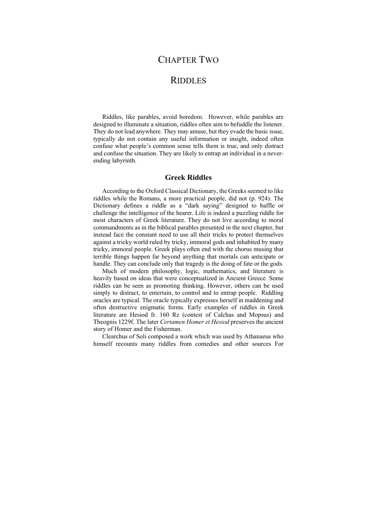## CHAPTER TWO

## RIDDLES

Riddles, like parables, avoid boredom. However, while parables are designed to illuminate a situation, riddles often aim to befuddle the listener. They do not lead anywhere. They may amuse, but they evade the basic issue, typically do not contain any useful information or insight, indeed often confuse what people's common sense tells them is true, and only distract and confuse the situation. They are likely to entrap an individual in a neverending labyrinth.

#### **Greek Riddles**

According to the Oxford Classical Dictionary, the Greeks seemed to like riddles while the Romans, a more practical people, did not (p. 924). The Dictionary defines a riddle as a "dark saying" designed to baffle or challenge the intelligence of the hearer. Life is indeed a puzzling riddle for most characters of Greek literature. They do not live according to moral commandments as in the biblical parables presented in the next chapter, but instead face the constant need to use all their tricks to protect themselves against a tricky world ruled by tricky, immoral gods and inhabited by many tricky, immoral people. Greek plays often end with the chorus musing that terrible things happen far beyond anything that mortals can anticipate or handle. They can conclude only that tragedy is the doing of fate or the gods.

Much of modern philosophy, logic, mathematics, and literature is heavily based on ideas that were conceptualized in Ancient Greece. Some riddles can be seen as promoting thinking. However, others can be used simply to distract, to entertain, to control and to entrap people. Riddling oracles are typical. The oracle typically expresses herself in maddening and often destructive enigmatic forms. Early examples of riddles in Greek literature are Hesiod fr. 160 Rz (contest of Calchas and Mopsus) and Theognis 1229f. The later *Certamen Homer et Hesiod* preserves the ancient story of Homer and the Fisherman.

Clearchus of Soli composed a work which was used by Athanaeus who himself recounts many riddles from comedies and other sources For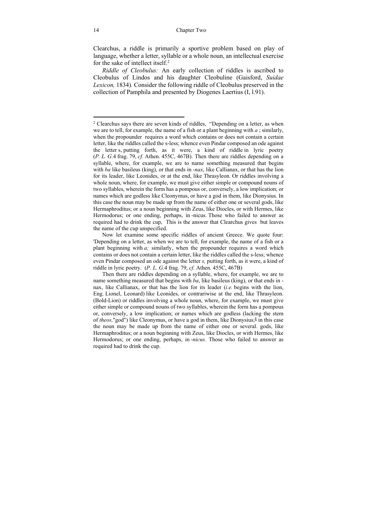Clearchus, a riddle is primarily a sportive problem based on play of language, whether a letter, syllable or a whole noun, an intellectual exercise for the sake of intellect itself.2

*Riddle of Cleobulus:* An early collection of riddles is ascribed to Cleobulus of Lindos and his daughter Cleobuline (Gaisford, *Suidae Lexicon,* 1834)*.* Consider the following riddle of Cleobulus preserved in the collection of Pamphila and presented by Diogenes Laertius (I, l.91).

Now let examine some specific riddles of ancient Greece. We quote four: 'Depending on a letter, as when we are to tell, for example, the name of a fish or a plant beginning with *a;* similarly, when the propounder requires a word which contains or does not contain a certain letter, like the riddles called the s-less; whence even Pindar composed an ode against the letter *s,* putting forth, as it were, a kind of riddle in lyric poetry. (*P. L. G.*4 frag. 79, *cf.* Athen. 455C, 467B)

Then there are riddles depending on a syllable, where, for example, we are to name something measured that begins with *ba*, like basileus (king), or that ends in nax, like Callianax, or that has the lion for its leader (*i.e.* begins with the lion, Eng. Lionel, Leonard) like Leonides, or contrariwise at the end, like Thrasyleon. (Bold-Lion) or riddles involving a whole noun, where, for example, we must give either simple or compound nouns of two syllables, wherein the form has a pompous or, conversely, a low implication; or names which are godless (lacking the stem of *theos,*"god") like Cleonymus, or have a god in them, like Dionysius;**<sup>1</sup>** in this case the noun may be made up from the name of either one or several. gods, like Hermaphroditus; or a noun beginning with Zeus, like Diocles, or with Hermes, like Hermodorus; or one ending, perhaps, in -*nicus.* Those who failed to answer as required had to drink the cup.

1

<sup>&</sup>lt;sup>2</sup> Clearchus says there are seven kinds of riddles, "Depending on a letter, as when we are to tell, for example, the name of a fish or a plant beginning with  $a$ ; similarly, when the propounder requires a word which contains or does not contain a certain letter, like the riddles called the s-less; whence even Pindar composed an ode against the letter s, putting forth, as it were, a kind of riddle in lyric poetry (*P. L. G.*4 frag. 79, *cf.* Athen. 455C, 467B). Then there are riddles depending on a syllable, where, for example, we are to name something measured that begins with *ba* like basileus (king), or that ends in -*nax*, like Callianax, or that has the lion for its leader, like Leonides, or at the end, like Thrasyleon. Or riddles involving a whole noun, where, for example, we must give either simple or compound nouns of two syllables, wherein the form has a pompous or, conversely, a low implication; or names which are godless like Cleonymus, or have a god in them, like Dionysius. In this case the noun may be made up from the name of either one or several gods, like Hermaphroditus; or a noun beginning with Zeus, like Diocles, or with Hermes, like Hermodorus; or one ending, perhaps, in -nicus. Those who failed to answer as required had to drink the cup, This is the answer that Clearchus gives but leaves the name of the cup unspecified.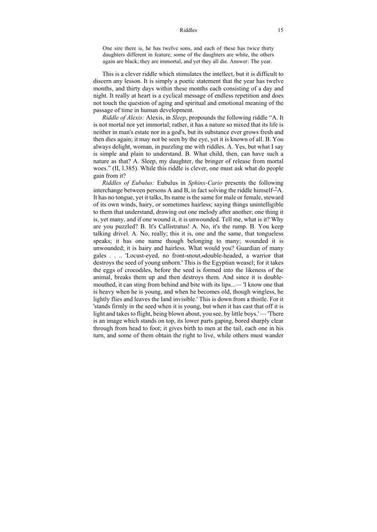#### Riddles 15

One sire there is, he has twelve sons, and each of these has twice thirty daughters different in feature; some of the daughters are white, the others again are black; they are immortal, and yet they all die. Answer: The year.

This is a clever riddle which stimulates the intellect, but it is difficult to discern any lesson. It is simply a poetic statement that the year has twelve months, and thirty days within these months each consisting of a day and night. It really at heart is a cyclical message of endless repetition and does not touch the question of aging and spiritual and emotional meaning of the passage of time in human development.

*Riddle of Alexis:* Alexis, in *Sleep*, propounds the following riddle "A. It is not mortal nor yet immortal; rather, it has a nature so mixed that its life is neither in man's estate nor in a god's, but its substance ever grows fresh and then dies again; it may not be seen by the eye, yet it is known of all. B. You always delight, woman, in puzzling me with riddles. A. Yes, but what I say is simple and plain to understand. B. What child, then, can have such a nature as that? A. Sleep, my daughter, the bringer of release from mortal woes." (II, l.385). While this riddle is clever, one must ask what do people gain from it?

*Riddles of Eubulus:* Eubulus in *Sphinx-Cario* presents the following interchange between persons A and B, in fact solving the riddle himself **"**A. It has no tongue, yet it talks, Its name is the same for male or female, steward of its own winds, hairy, or sometimes hairless; saying things unintelligible to them that understand, drawing out one melody after another; one thing it is, yet many, and if one wound it, it is unwounded. Tell me, what is it? Why are you puzzled? B. It's Callistratus! A. No, it's the rump. B. You keep talking drivel. A. No, really; this it is, one and the same, that tongueless speaks; it has one name though belonging to many; wounded it is unwounded; it is hairy and hairless. What would you? Guardian of many gales . . .. 'Locust-eyed, no front-snout, double-headed, a warrior that destroys the seed of young unborn.' This is the Egyptian weasel; for it takes the eggs of crocodiles, before the seed is formed into the likeness of the animal, breaks them up and then destroys them. And since it is doublemouthed, it can sting from behind and bite with its lips...— 'I know one that is heavy when he is young, and when he becomes old, though wingless, he lightly flies and leaves the land invisible.' This is down from a thistle. For it 'stands firmly in the seed when it is young, but when it has cast that off it is light and takes to flight, being blown about, you see, by little boys.' — 'There is an image which stands on top, its lower parts gaping, bored sharply clear through from head to foot; it gives birth to men at the tail, each one in his turn, and some of them obtain the right to live, while others must wander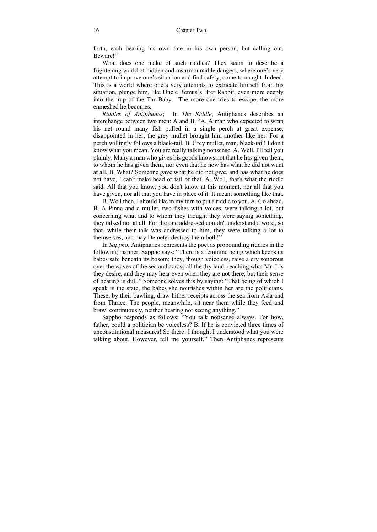forth, each bearing his own fate in his own person, but calling out. Beware!"

What does one make of such riddles? They seem to describe a frightening world of hidden and insurmountable dangers, where one's very attempt to improve one's situation and find safety, come to naught. Indeed. This is a world where one's very attempts to extricate himself from his situation, plunge him, like Uncle Remus's Brer Rabbit, even more deeply into the trap of the Tar Baby. The more one tries to escape, the more enmeshed he becomes.

*Riddles of Antiphanes*; In *The Riddle*, Antiphanes describes an interchange between two men: A and B. "A. A man who expected to wrap his net round many fish pulled in a single perch at great expense; disappointed in her, the grey mullet brought him another like her. For a perch willingly follows a black-tail. B. Grey mullet, man, black-tail! I don't know what you mean. You are really talking nonsense. A. Well, I'll tell you plainly. Many a man who gives his goods knows not that he has given them, to whom he has given them, nor even that he now has what he did not want at all. B. What? Someone gave what he did not give, and has what he does not have, I can't make head or tail of that. A. Well, that's what the riddle said. All that you know, you don't know at this moment, nor all that you have given, nor all that you have in place of it. It meant something like that.

B. Well then, I should like in my turn to put a riddle to you. A. Go ahead. B. A Pinna and a mullet, two fishes with voices, were talking a lot, but concerning what and to whom they thought they were saying something, they talked not at all. For the one addressed couldn't understand a word, so that, while their talk was addressed to him, they were talking a lot to themselves, and may Demeter destroy them both!"

In *Sappho*, Antiphanes represents the poet as propounding riddles in the following manner. Sappho says: "There is a feminine being which keeps its babes safe beneath its bosom; they, though voiceless, raise a cry sonorous over the waves of the sea and across all the dry land, reaching what Mr. L's they desire, and they may hear even when they are not there; but their sense of hearing is dull." Someone solves this by saying: "That being of which I speak is the state, the babes she nourishes within her are the politicians. These, by their bawling, draw hither receipts across the sea from Asia and from Thrace. The people, meanwhile, sit near them while they feed and brawl continuously, neither hearing nor seeing anything."

Sappho responds as follows: "You talk nonsense always. For how, father, could a politician be voiceless? B. If he is convicted three times of unconstitutional measures! So there! I thought I understood what you were talking about. However, tell me yourself." Then Antiphanes represents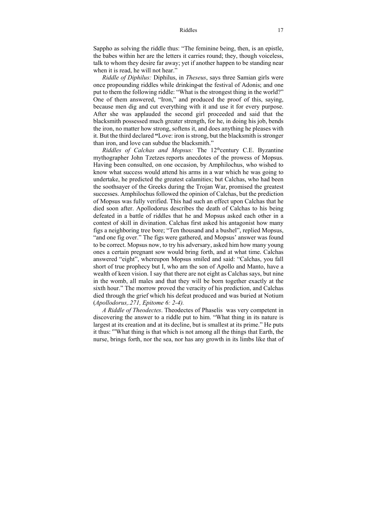#### Riddles 17

Sappho as solving the riddle thus: "The feminine being, then, is an epistle, the babes within her are the letters it carries round; they, though voiceless, talk to whom they desire far away; yet if another happen to be standing near when it is read, he will not hear."

*Riddle of Diphilus:* Diphilus, in *Theseus*, says three Samian girls were once propounding riddles while drinking at the festival of Adonis; and one put to them the following riddle: "What is the strongest thing in the world?" One of them answered, "Iron," and produced the proof of this, saying, because men dig and cut everything with it and use it for every purpose. After she was applauded the second girl proceeded and said that the blacksmith possessed much greater strength, for he, in doing his job, bends the iron, no matter how strong, softens it, and does anything he pleases with it. But the third declared **"**Love: iron is strong, but the blacksmith is stronger than iron, and love can subdue the blacksmith."

*Riddles of Calchas and Mopsus:* The 12<sup>th</sup>century C.E. Byzantine mythographer John Tzetzes reports anecdotes of the prowess of Mopsus. Having been consulted, on one occasion, by Amphilochus, who wished to know what success would attend his arms in a war which he was going to undertake, he predicted the greatest calamities; but Calchas, who had been the soothsayer of the Greeks during the Trojan War, promised the greatest successes. Amphilochus followed the opinion of Calchas, but the prediction of Mopsus was fully verified. This had such an effect upon Calchas that he died soon after. Apollodorus describes the death of Calchas to his being defeated in a battle of riddles that he and Mopsus asked each other in a contest of skill in divination. Calchas first asked his antagonist how many figs a neighboring tree bore; "Ten thousand and a bushel", replied Mopsus, "and one fig over." The figs were gathered, and Mopsus' answer was found to be correct. Mopsus now, to try his adversary, asked him how many young ones a certain pregnant sow would bring forth, and at what time. Calchas answered "eight", whereupon Mopsus smiled and said: "Calchas, you fall short of true prophecy but I, who am the son of Apollo and Manto, have a wealth of keen vision. I say that there are not eight as Calchas says, but nine in the womb, all males and that they will be born together exactly at the sixth hour." The morrow proved the veracity of his prediction, and Calchas died through the grief which his defeat produced and was buried at Notium (*Apollodorus,.271, Epitome 6: 2-4).*

*A Riddle of Theodectes*. Theodectes of Phaselis was very competent in discovering the answer to a riddle put to him. "What thing in its nature is largest at its creation and at its decline, but is smallest at its prime." He puts it thus: '"What thing is that which is not among all the things that Earth, the nurse, brings forth, nor the sea, nor has any growth in its limbs like that of